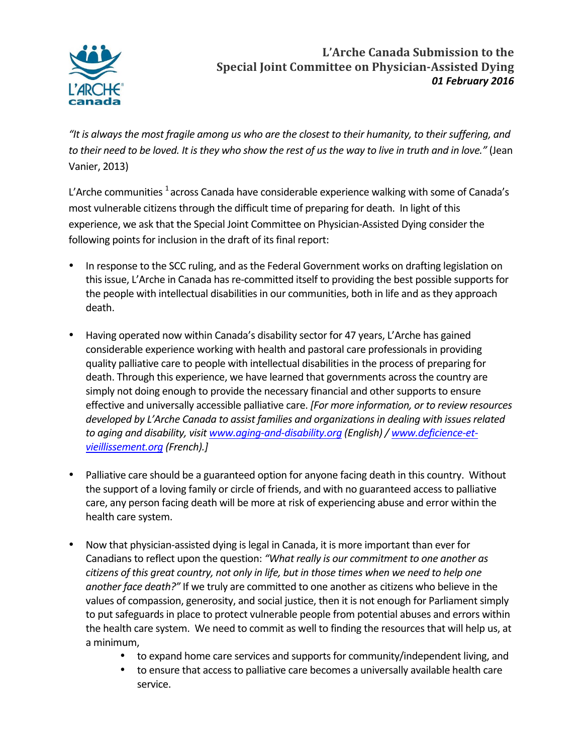

## L'Arche Canada Submission to the **Special Joint Committee on Physician-Assisted Dying** *01 February 2016*

"It is always the most fragile among us who are the closest to their humanity, to their suffering, and to their need to be loved. It is they who show the rest of us the way to live in truth and in love." (Jean Vanier, 2013)

L'Arche communities <sup>1</sup> across Canada have considerable experience walking with some of Canada's most vulnerable citizens through the difficult time of preparing for death. In light of this experience, we ask that the Special Joint Committee on Physician-Assisted Dying consider the following points for inclusion in the draft of its final report:

- In response to the SCC ruling, and as the Federal Government works on drafting legislation on this issue, L'Arche in Canada has re-committed itself to providing the best possible supports for the people with intellectual disabilities in our communities, both in life and as they approach death.
- Having operated now within Canada's disability sector for 47 years, L'Arche has gained considerable experience working with health and pastoral care professionals in providing quality palliative care to people with intellectual disabilities in the process of preparing for death. Through this experience, we have learned that governments across the country are simply not doing enough to provide the necessary financial and other supports to ensure effective and universally accessible palliative care. *[For more information, or to review resources* developed by L'Arche Canada to assist families and organizations in dealing with issues related to aging and disability, visit www.aging-and-disability.org (English) / www.deficience-et*vieillissement.org (French).]*
- Palliative care should be a guaranteed option for anyone facing death in this country. Without the support of a loving family or circle of friends, and with no guaranteed access to palliative care, any person facing death will be more at risk of experiencing abuse and error within the health care system.
- Now that physician-assisted dying is legal in Canada, it is more important than ever for Canadians to reflect upon the question: "What really is our commitment to one another as citizens of this great country, not only in life, but in those times when we need to help one *another face death?"* If we truly are committed to one another as citizens who believe in the values of compassion, generosity, and social justice, then it is not enough for Parliament simply to put safeguards in place to protect vulnerable people from potential abuses and errors within the health care system. We need to commit as well to finding the resources that will help us, at a minimum,
	- to expand home care services and supports for community/independent living, and
	- to ensure that access to palliative care becomes a universally available health care service.